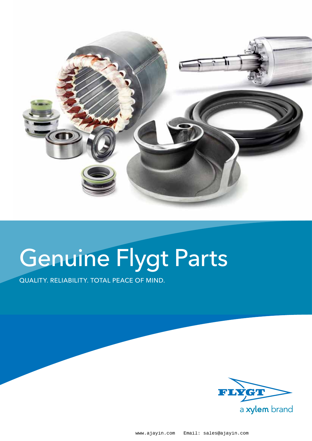

## Genuine Flygt Parts

Quality. Reliability. Total peace of mind.

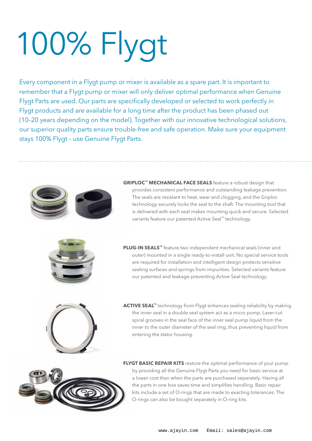## 100% Flygt

Every component in a Flygt pump or mixer is available as a spare part. It is important to remember that a Flygt pump or mixer will only deliver optimal performance when Genuine Flygt Parts are used. Our parts are specifically developed or selected to work perfectly in Flygt products and are available for a long time after the product has been phased out (10–20 years depending on the model). Together with our innovative technological solutions, our superior quality parts ensure trouble-free and safe operation. Make sure your equipment stays 100% Flygt – use Genuine Flygt Parts.



outer) mounted in a single ready-to-install unit. No special service tools are required for installation and intelligent design protects sensitive sealing surfaces and springs from impurities. Selected variants feature our patented and leakage-preventing Active Seal technology.



**ACTIVE SEAL<sup>™</sup> technology from Flygt enhances sealing reliability by making** the inner seal in a double seal system act as a micro pump. Laser-cut spiral grooves in the seal face of the inner seal pump liquid from the inner to the outer diameter of the seal ring, thus preventing liquid from entering the stator housing.



**FLYGT BASIC REPAIR KITS** restore the optimal performance of your pump by providing all the Genuine Flygt Parts you need for basic service at a lower cost than when the parts are purchased separately. Having all the parts in one box saves time and simplifies handling. Basic repair kits include a set of O-rings that are made to exacting tolerances. The O-rings can also be bought separately in O-ring kits.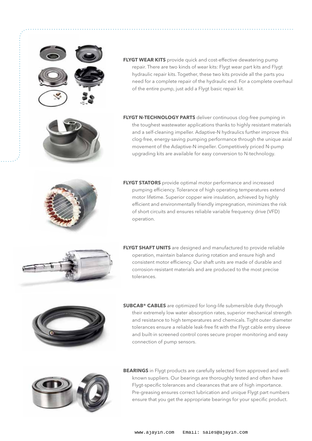

**FLYGT WEAR KITS** provide quick and cost-effective dewatering pump repair. There are two kinds of wear kits: Flygt wear part kits and Flygt hydraulic repair kits. Together, these two kits provide all the parts you need for a complete repair of the hydraulic end. For a complete overhaul of the entire pump, just add a Flygt basic repair kit.



**FLYGT N-TECHNOLOGY PARTS** deliver continuous clog-free pumping in the toughest wastewater applications thanks to highly resistant materials and a self-cleaning impeller. Adaptive-N hydraulics further improve this clog-free, energy-saving pumping performance through the unique axial movement of the Adaptive-N impeller. Competitively priced N-pump upgrading kits are available for easy conversion to N-technology.



**FLYGT STATORS** provide optimal motor performance and increased pumping efficiency. Tolerance of high operating temperatures extend motor lifetime. Superior copper wire insulation, achieved by highly efficient and environmentally friendly impregnation, minimizes the risk of short circuits and ensures reliable variable frequency drive (VFD) operation.



**FLYGT SHAFT UNITS** are designed and manufactured to provide reliable operation, maintain balance during rotation and ensure high and consistent motor efficiency. Our shaft units are made of durable and corrosion-resistant materials and are produced to the most precise tolerances.



**SUBCAB® cables** are optimized for long-life submersible duty through their extremely low water absorption rates, superior mechanical strength and resistance to high temperatures and chemicals. Tight outer diameter tolerances ensure a reliable leak-free fit with the Flygt cable entry sleeve and built-in screened control cores secure proper monitoring and easy connection of pump sensors.



**BEARINGS** in Flygt products are carefully selected from approved and wellknown suppliers. Our bearings are thoroughly tested and often have Flygt-specific tolerances and clearances that are of high importance. Pre-greasing ensures correct lubrication and unique Flygt part numbers ensure that you get the appropriate bearings for your specific product.